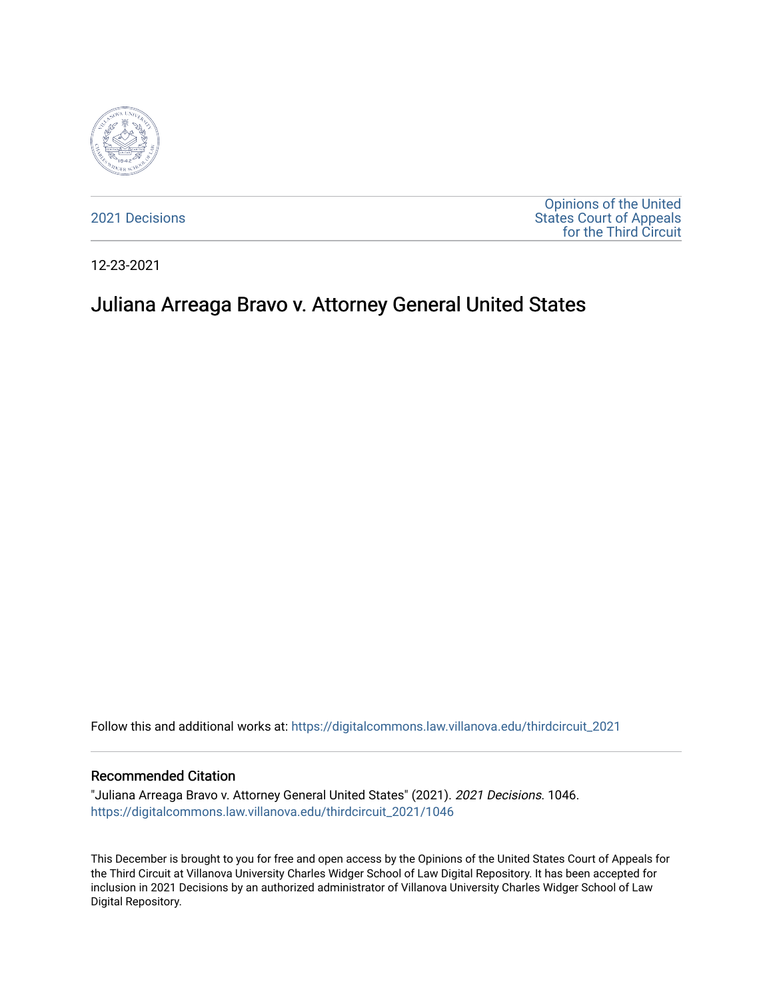

[2021 Decisions](https://digitalcommons.law.villanova.edu/thirdcircuit_2021)

[Opinions of the United](https://digitalcommons.law.villanova.edu/thirdcircuit)  [States Court of Appeals](https://digitalcommons.law.villanova.edu/thirdcircuit)  [for the Third Circuit](https://digitalcommons.law.villanova.edu/thirdcircuit) 

12-23-2021

# Juliana Arreaga Bravo v. Attorney General United States

Follow this and additional works at: [https://digitalcommons.law.villanova.edu/thirdcircuit\\_2021](https://digitalcommons.law.villanova.edu/thirdcircuit_2021?utm_source=digitalcommons.law.villanova.edu%2Fthirdcircuit_2021%2F1046&utm_medium=PDF&utm_campaign=PDFCoverPages) 

#### Recommended Citation

"Juliana Arreaga Bravo v. Attorney General United States" (2021). 2021 Decisions. 1046. [https://digitalcommons.law.villanova.edu/thirdcircuit\\_2021/1046](https://digitalcommons.law.villanova.edu/thirdcircuit_2021/1046?utm_source=digitalcommons.law.villanova.edu%2Fthirdcircuit_2021%2F1046&utm_medium=PDF&utm_campaign=PDFCoverPages) 

This December is brought to you for free and open access by the Opinions of the United States Court of Appeals for the Third Circuit at Villanova University Charles Widger School of Law Digital Repository. It has been accepted for inclusion in 2021 Decisions by an authorized administrator of Villanova University Charles Widger School of Law Digital Repository.